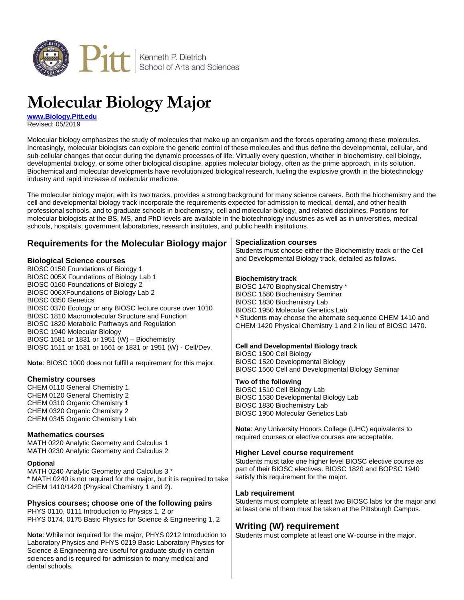

# **Molecular Biology Major**

**[www.Biology.Pitt.edu](http://www.biology.pitt.edu/)** Revised: 05/2019

Molecular biology emphasizes the study of molecules that make up an organism and the forces operating among these molecules. Increasingly, molecular biologists can explore the genetic control of these molecules and thus define the developmental, cellular, and sub-cellular changes that occur during the dynamic processes of life. Virtually every question, whether in biochemistry, cell biology, developmental biology, or some other biological discipline, applies molecular biology, often as the prime approach, in its solution. Biochemical and molecular developments have revolutionized biological research, fueling the explosive growth in the biotechnology industry and rapid increase of molecular medicine.

The molecular biology major, with its two tracks, provides a strong background for many science careers. Both the biochemistry and the cell and developmental biology track incorporate the requirements expected for admission to medical, dental, and other health professional schools, and to graduate schools in biochemistry, cell and molecular biology, and related disciplines. Positions for molecular biologists at the BS, MS, and PhD levels are available in the biotechnology industries as well as in universities, medical schools, hospitals, government laboratories, research institutes, and public health institutions.

| <b>Requirements for the Molecular Biology major</b>                                                                                                                                                                                                                                                                                                                                                     | <b>Specialization courses</b><br>Students must choose either the Biochemistry track or the Cell                                                                                                                                                                                                                   |
|---------------------------------------------------------------------------------------------------------------------------------------------------------------------------------------------------------------------------------------------------------------------------------------------------------------------------------------------------------------------------------------------------------|-------------------------------------------------------------------------------------------------------------------------------------------------------------------------------------------------------------------------------------------------------------------------------------------------------------------|
| <b>Biological Science courses</b><br>BIOSC 0150 Foundations of Biology 1                                                                                                                                                                                                                                                                                                                                | and Developmental Biology track, detailed as follows.                                                                                                                                                                                                                                                             |
| BIOSC 005X Foundations of Biology Lab 1<br>BIOSC 0160 Foundations of Biology 2<br>BIOSC 006XFoundations of Biology Lab 2<br><b>BIOSC 0350 Genetics</b><br>BIOSC 0370 Ecology or any BIOSC lecture course over 1010<br>BIOSC 1810 Macromolecular Structure and Function<br>BIOSC 1820 Metabolic Pathways and Regulation<br>BIOSC 1940 Molecular Biology<br>BIOSC 1581 or 1831 or 1951 (W) - Biochemistry | <b>Biochemistry track</b><br>BIOSC 1470 Biophysical Chemistry *<br><b>BIOSC 1580 Biochemistry Seminar</b><br>BIOSC 1830 Biochemistry Lab<br><b>BIOSC 1950 Molecular Genetics Lab</b><br>* Students may choose the alternate sequence CHEM 1410 and<br>CHEM 1420 Physical Chemistry 1 and 2 in lieu of BIOSC 1470. |
| BIOSC 1511 or 1531 or 1561 or 1831 or 1951 (W) - Cell/Dev.<br>Note: BIOSC 1000 does not fulfill a requirement for this major.                                                                                                                                                                                                                                                                           | <b>Cell and Developmental Biology track</b><br>BIOSC 1500 Cell Biology<br>BIOSC 1520 Developmental Biology<br>BIOSC 1560 Cell and Developmental Biology Seminar                                                                                                                                                   |
| <b>Chemistry courses</b><br>CHEM 0110 General Chemistry 1<br>CHEM 0120 General Chemistry 2<br>CHEM 0310 Organic Chemistry 1<br>CHEM 0320 Organic Chemistry 2<br>CHEM 0345 Organic Chemistry Lab                                                                                                                                                                                                         | Two of the following<br>BIOSC 1510 Cell Biology Lab<br>BIOSC 1530 Developmental Biology Lab<br>BIOSC 1830 Biochemistry Lab<br><b>BIOSC 1950 Molecular Genetics Lab</b>                                                                                                                                            |
| <b>Mathematics courses</b><br>MATH 0220 Analytic Geometry and Calculus 1<br>MATH 0230 Analytic Geometry and Calculus 2                                                                                                                                                                                                                                                                                  | Note: Any University Honors College (UHC) equivalents to<br>required courses or elective courses are acceptable.<br><b>Higher Level course requirement</b>                                                                                                                                                        |
| <b>Optional</b><br>MATH 0240 Analytic Geometry and Calculus 3 *<br>* MATH 0240 is not required for the major, but it is required to take<br>CHEM 1410/1420 (Physical Chemistry 1 and 2).                                                                                                                                                                                                                | Students must take one higher level BIOSC elective course as<br>part of their BIOSC electives. BIOSC 1820 and BOPSC 1940<br>satisfy this requirement for the major.                                                                                                                                               |
| Physics courses; choose one of the following pairs<br>PHYS 0110, 0111 Introduction to Physics 1, 2 or<br>PHYS 0174, 0175 Basic Physics for Science & Engineering 1, 2                                                                                                                                                                                                                                   | Lab requirement<br>Students must complete at least two BIOSC labs for the major and<br>at least one of them must be taken at the Pittsburgh Campus.                                                                                                                                                               |
| Note: While not required for the major, PHYS 0212 Introduction to<br>Laboratory Physics and PHYS 0219 Basic Laboratory Physics for<br>Science & Engineering are useful for graduate study in certain<br>sciences and is required for admission to many medical and<br>dental schools.                                                                                                                   | <b>Writing (W) requirement</b><br>Students must complete at least one W-course in the major.                                                                                                                                                                                                                      |